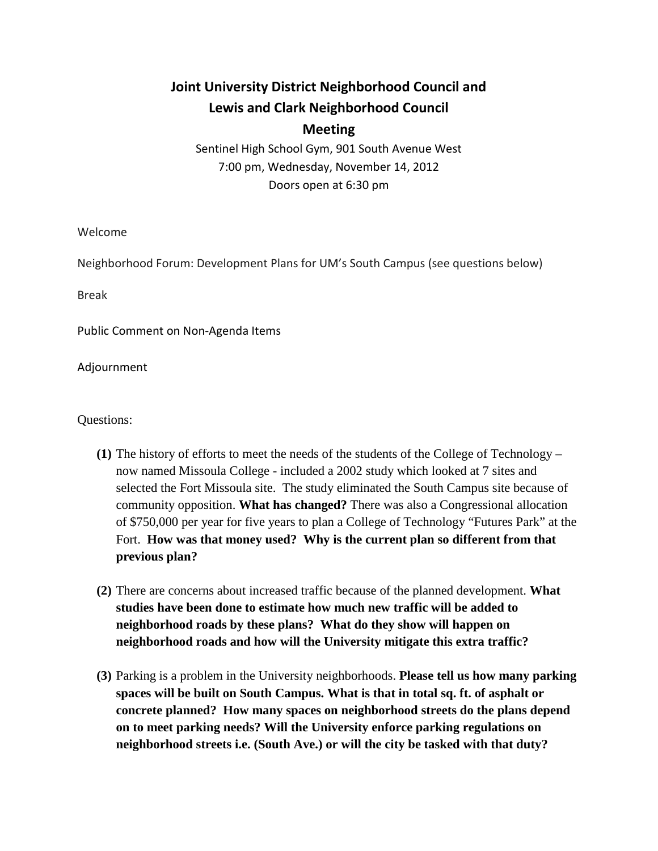## **Joint University District Neighborhood Council and Lewis and Clark Neighborhood Council Meeting**

Sentinel High School Gym, 901 South Avenue West 7:00 pm, Wednesday, November 14, 2012 Doors open at 6:30 pm

Welcome

Neighborhood Forum: Development Plans for UM's South Campus (see questions below)

Break

Public Comment on Non-Agenda Items

Adjournment

Questions:

- **(1)** The history of efforts to meet the needs of the students of the College of Technology now named Missoula College - included a 2002 study which looked at 7 sites and selected the Fort Missoula site. The study eliminated the South Campus site because of community opposition. **What has changed?** There was also a Congressional allocation of \$750,000 per year for five years to plan a College of Technology "Futures Park" at the Fort. **How was that money used? Why is the current plan so different from that previous plan?**
- **(2)** There are concerns about increased traffic because of the planned development. **What studies have been done to estimate how much new traffic will be added to neighborhood roads by these plans? What do they show will happen on neighborhood roads and how will the University mitigate this extra traffic?**
- **(3)** Parking is a problem in the University neighborhoods. **Please tell us how many parking spaces will be built on South Campus. What is that in total sq. ft. of asphalt or concrete planned? How many spaces on neighborhood streets do the plans depend on to meet parking needs? Will the University enforce parking regulations on neighborhood streets i.e. (South Ave.) or will the city be tasked with that duty?**